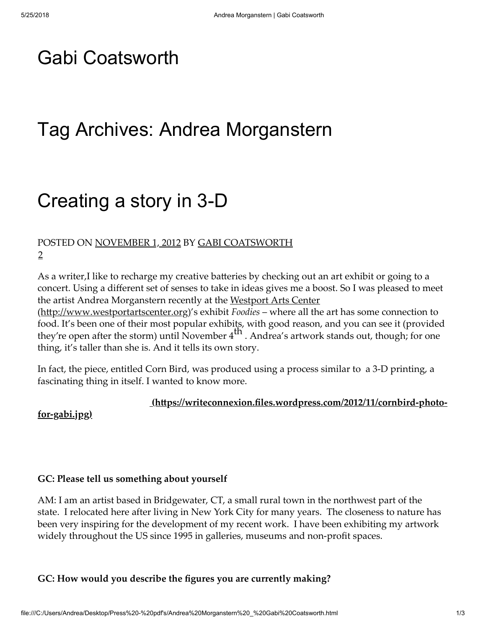## [Gabi Coatsworth](https://gabicoatsworth.com/)

## Tag Archives: Andrea Morganstern

# [Creating a story in 3-D](https://gabicoatsworth.com/2012/11/01/creating-a-story-in-3-d/)

#### POSTED ON [NOVEMBER 1, 2012](https://gabicoatsworth.com/2012/11/01/creating-a-story-in-3-d/) BY [GABI COATSWORTH](https://gabicoatsworth.com/author/gabicoatsworth/) [2](https://gabicoatsworth.com/2012/11/01/creating-a-story-in-3-d/#comments)

As a writer,I like to recharge my creative batteries by checking out an art exhibit or going to a concert. Using a different set of senses to take in ideas gives me a boost. So I was pleased to meet [the artist Andrea Morganstern recently at the Westport Arts Center](http://www.westportartscenter.org/)

(http://www.westportartscenter.org)'s exhibit *Foodies* – where all the art has some connection to food. It's been one of their most popular exhibits, with good reason, and you can see it (provided they're open after the storm) until November  $4^{th}$ . Andrea's artwork stands out, though; for one thing, it's taller than she is. And it tells its own story.

In fact, the piece, entitled Corn Bird, was produced using a process similar to a 3-D printing, a fascinating thing in itself. I wanted to know more.

#### $(<a href="https://writeconnexion.files.wordpress.com/2012/11/cornbird-photo-<br/>thetonlexion.files.wordpress.com/2012/11/cornbird-photo-thetonlexion.files.wordpress.com/2012/11/cornbird-photo-$

for-gabi.jpg)

#### GC: Please tell us something about yourself

AM: I am an artist based in Bridgewater, CT, a small rural town in the northwest part of the state. I relocated here after living in New York City for many years. The closeness to nature has been very inspiring for the development of my recent work. I have been exhibiting my artwork widely throughout the US since 1995 in galleries, museums and non-profit spaces.

#### GC: How would you describe the figures you are currently making?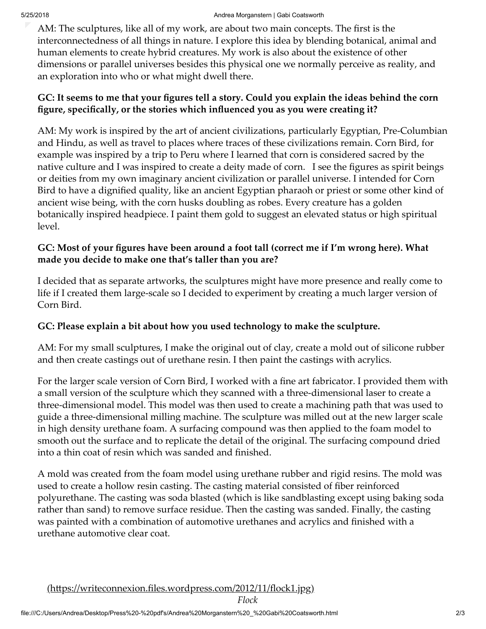AM: The sculptures, like all of my work, are about two main concepts. The first is the interconnectedness of all things in nature. I explore this idea by blending botanical, animal and human elements to create hybrid creatures. My work is also about the existence of other dimensions or parallel universes besides this physical one we normally perceive as reality, and an exploration into who or what might dwell there.

## GC: It seems to me that your figures tell a story. Could you explain the ideas behind the corn figure, specifically, or the stories which influenced you as you were creating it?

AM: My work is inspired by the art of ancient civilizations, particularly Egyptian, Pre-Columbian and Hindu, as well as travel to places where traces of these civilizations remain. Corn Bird, for example was inspired by a trip to Peru where I learned that corn is considered sacred by the native culture and I was inspired to create a deity made of corn. I see the figures as spirit beings or deities from my own imaginary ancient civilization or parallel universe. I intended for Corn Bird to have a dignified quality, like an ancient Egyptian pharaoh or priest or some other kind of ancient wise being, with the corn husks doubling as robes. Every creature has a golden botanically inspired headpiece. I paint them gold to suggest an elevated status or high spiritual level.

## GC: Most of your figures have been around a foot tall (correct me if I'm wrong here). What made you decide to make one that's taller than you are?

I decided that as separate artworks, the sculptures might have more presence and really come to life if I created them large-scale so I decided to experiment by creating a much larger version of Corn Bird.

### GC: Please explain a bit about how you used technology to make the sculpture.

AM: For my small sculptures, I make the original out of clay, create a mold out of silicone rubber and then create castings out of urethane resin. I then paint the castings with acrylics.

For the larger scale version of Corn Bird, I worked with a fine art fabricator. I provided them with a small version of the sculpture which they scanned with a three-dimensional laser to create a three-dimensional model. This model was then used to create a machining path that was used to guide a three-dimensional milling machine. The sculpture was milled out at the new larger scale in high density urethane foam. A surfacing compound was then applied to the foam model to smooth out the surface and to replicate the detail of the original. The surfacing compound dried into a thin coat of resin which was sanded and finished.

A mold was created from the foam model using urethane rubber and rigid resins. The mold was used to create a hollow resin casting. The casting material consisted of fiber reinforced polyurethane. The casting was soda blasted (which is like sandblasting except using baking soda rather than sand) to remove surface residue. Then the casting was sanded. Finally, the casting was painted with a combination of automotive urethanes and acrylics and finished with a urethane automotive clear coat.